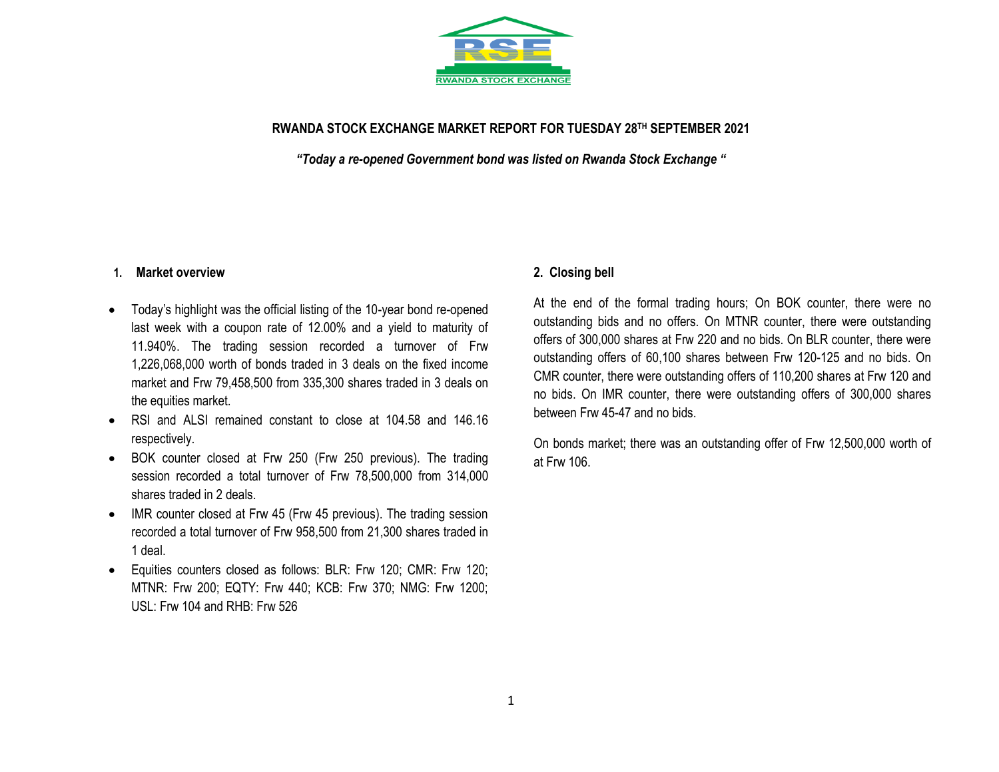

### **RWANDA STOCK EXCHANGE MARKET REPORT FOR TUESDAY 28 TH SEPTEMBER 2021**

*"Today a re-opened Government bond was listed on Rwanda Stock Exchange "*

#### **1. Market overview**

- Today's highlight was the official listing of the 10-year bond re-opened last week with a coupon rate of 12.00% and a yield to maturity of 11.940%. The trading session recorded a turnover of Frw 1,226,068,000 worth of bonds traded in 3 deals on the fixed income market and Frw 79,458,500 from 335,300 shares traded in 3 deals on the equities market.
- RSI and ALSI remained constant to close at 104.58 and 146.16 respectively.
- BOK counter closed at Frw 250 (Frw 250 previous). The trading session recorded a total turnover of Frw 78,500,000 from 314,000 shares traded in 2 deals.
- IMR counter closed at Frw 45 (Frw 45 previous). The trading session recorded a total turnover of Frw 958,500 from 21,300 shares traded in 1 deal.
- Equities counters closed as follows: BLR: Frw 120; CMR: Frw 120; MTNR: Frw 200; EQTY: Frw 440; KCB: Frw 370; NMG: Frw 1200; USL: Frw 104 and RHB: Frw 526

#### **2. Closing bell**

At the end of the formal trading hours; On BOK counter, there were no outstanding bids and no offers. On MTNR counter, there were outstanding offers of 300,000 shares at Frw 220 and no bids. On BLR counter, there were outstanding offers of 60,100 shares between Frw 120-125 and no bids. On CMR counter, there were outstanding offers of 110,200 shares at Frw 120 and no bids. On IMR counter, there were outstanding offers of 300,000 shares between Frw 45-47 and no bids.

On bonds market; there was an outstanding offer of Frw 12,500,000 worth of at Frw 106.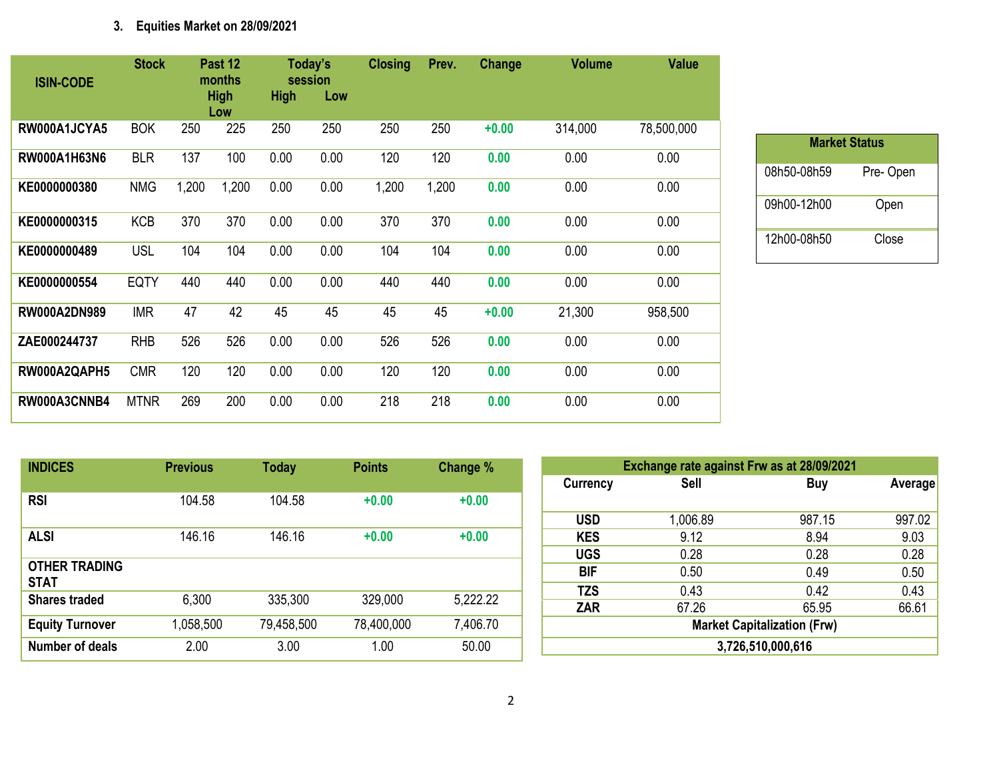# **3. Equities Market on 28/09/2021**

| <b>ISIN-CODE</b>    | <b>Stock</b> |       | Past 12<br>months  |             | Today's<br>session | <b>Closing</b> | Prev. | Change  | <b>Volume</b> | <b>Value</b> |
|---------------------|--------------|-------|--------------------|-------------|--------------------|----------------|-------|---------|---------------|--------------|
|                     |              |       | <b>High</b><br>Low | <b>High</b> | Low                |                |       |         |               |              |
| RW000A1JCYA5        | <b>BOK</b>   | 250   | 225                | 250         | 250                | 250            | 250   | $+0.00$ | 314,000       | 78,500,000   |
| RW000A1H63N6        | <b>BLR</b>   | 137   | 100                | 0.00        | 0.00               | 120            | 120   | 0.00    | 0.00          | 0.00         |
| KE0000000380        | <b>NMG</b>   | 1,200 | 1,200              | 0.00        | 0.00               | 1,200          | 1,200 | 0.00    | 0.00          | 0.00         |
| KE0000000315        | <b>KCB</b>   | 370   | 370                | 0.00        | 0.00               | 370            | 370   | 0.00    | 0.00          | 0.00         |
| KE0000000489        | <b>USL</b>   | 104   | 104                | 0.00        | 0.00               | 104            | 104   | 0.00    | 0.00          | 0.00         |
| KE0000000554        | <b>EQTY</b>  | 440   | 440                | 0.00        | 0.00               | 440            | 440   | 0.00    | 0.00          | 0.00         |
| <b>RW000A2DN989</b> | <b>IMR</b>   | 47    | 42                 | 45          | 45                 | 45             | 45    | $+0.00$ | 21,300        | 958,500      |
| ZAE000244737        | <b>RHB</b>   | 526   | 526                | 0.00        | 0.00               | 526            | 526   | 0.00    | 0.00          | 0.00         |
| RW000A2QAPH5        | <b>CMR</b>   | 120   | 120                | 0.00        | 0.00               | 120            | 120   | 0.00    | 0.00          | 0.00         |
| RW000A3CNNB4        | <b>MTNR</b>  | 269   | 200                | 0.00        | 0.00               | 218            | 218   | 0.00    | 0.00          | 0.00         |

| <b>Market Status</b> |          |  |  |  |  |  |  |  |
|----------------------|----------|--|--|--|--|--|--|--|
| 08h50-08h59          | Pre-Open |  |  |  |  |  |  |  |
| 09h00-12h00          | Open     |  |  |  |  |  |  |  |
| 12h00-08h50          | Close    |  |  |  |  |  |  |  |

| <b>INDICES</b>                      | <b>Previous</b> | <b>Today</b> | <b>Points</b> | Change % |
|-------------------------------------|-----------------|--------------|---------------|----------|
| <b>RSI</b>                          | 104.58          | 104.58       | $+0.00$       | $+0.00$  |
| <b>ALSI</b>                         | 146.16          | 146.16       | $+0.00$       | $+0.00$  |
| <b>OTHER TRADING</b><br><b>STAT</b> |                 |              |               |          |
| <b>Shares traded</b>                | 6,300           | 335,300      | 329,000       | 5,222.22 |
| <b>Equity Turnover</b>              | 1,058,500       | 79,458,500   | 78,400,000    | 7,406.70 |
| Number of deals                     | 2.00            | 3.00         | 1.00          | 50.00    |

| Exchange rate against Frw as at 28/09/2021 |                                    |        |         |  |  |  |  |  |  |
|--------------------------------------------|------------------------------------|--------|---------|--|--|--|--|--|--|
| <b>Currency</b>                            | <b>Sell</b>                        | Buy    | Average |  |  |  |  |  |  |
|                                            |                                    |        |         |  |  |  |  |  |  |
| <b>USD</b>                                 | 1,006.89                           | 987.15 | 997.02  |  |  |  |  |  |  |
| <b>KES</b>                                 | 9.12                               | 8.94   | 9.03    |  |  |  |  |  |  |
| <b>UGS</b>                                 | 0.28                               | 0.28   | 0.28    |  |  |  |  |  |  |
| <b>BIF</b>                                 | 0.50                               | 0.49   | 0.50    |  |  |  |  |  |  |
| <b>TZS</b>                                 | 0.43                               | 0.42   | 0.43    |  |  |  |  |  |  |
| <b>ZAR</b>                                 | 67.26                              | 65.95  | 66.61   |  |  |  |  |  |  |
|                                            | <b>Market Capitalization (Frw)</b> |        |         |  |  |  |  |  |  |
|                                            | 3,726,510,000,616                  |        |         |  |  |  |  |  |  |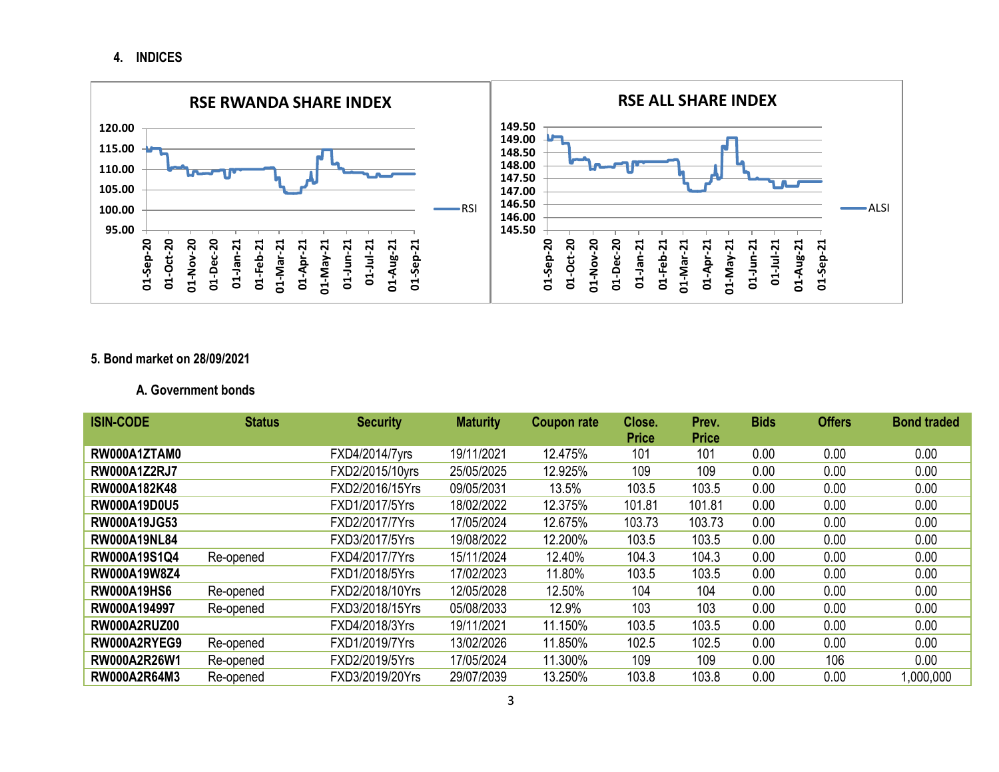## **4. INDICES**



# **5. Bond market on 28/09/2021**

### **A. Government bonds**

| <b>ISIN-CODE</b>    | <b>Status</b> | <b>Security</b> | <b>Maturity</b> | <b>Coupon rate</b> | Close.       | Prev.        | <b>Bids</b> | <b>Offers</b> | <b>Bond traded</b> |
|---------------------|---------------|-----------------|-----------------|--------------------|--------------|--------------|-------------|---------------|--------------------|
|                     |               |                 |                 |                    | <b>Price</b> | <b>Price</b> |             |               |                    |
| RW000A1ZTAM0        |               | FXD4/2014/7yrs  | 19/11/2021      | 12.475%            | 101          | 101          | 0.00        | 0.00          | 0.00               |
| <b>RW000A1Z2RJ7</b> |               | FXD2/2015/10yrs | 25/05/2025      | 12.925%            | 109          | 109          | 0.00        | 0.00          | 0.00               |
| RW000A182K48        |               | FXD2/2016/15Yrs | 09/05/2031      | 13.5%              | 103.5        | 103.5        | 0.00        | 0.00          | 0.00               |
| <b>RW000A19D0U5</b> |               | FXD1/2017/5Yrs  | 18/02/2022      | 12.375%            | 101.81       | 101.81       | 0.00        | 0.00          | 0.00               |
| <b>RW000A19JG53</b> |               | FXD2/2017/7Yrs  | 17/05/2024      | 12.675%            | 103.73       | 103.73       | 0.00        | 0.00          | 0.00               |
| <b>RW000A19NL84</b> |               | FXD3/2017/5Yrs  | 19/08/2022      | 12.200%            | 103.5        | 103.5        | 0.00        | 0.00          | 0.00               |
| RW000A19S1Q4        | Re-opened     | FXD4/2017/7Yrs  | 15/11/2024      | 12.40%             | 104.3        | 104.3        | 0.00        | 0.00          | 0.00               |
| RW000A19W8Z4        |               | FXD1/2018/5Yrs  | 17/02/2023      | 11.80%             | 103.5        | 103.5        | 0.00        | 0.00          | 0.00               |
| <b>RW000A19HS6</b>  | Re-opened     | FXD2/2018/10Yrs | 12/05/2028      | 12.50%             | 104          | 104          | 0.00        | 0.00          | 0.00               |
| RW000A194997        | Re-opened     | FXD3/2018/15Yrs | 05/08/2033      | 12.9%              | 103          | 103          | 0.00        | 0.00          | 0.00               |
| RW000A2RUZ00        |               | FXD4/2018/3Yrs  | 19/11/2021      | 11.150%            | 103.5        | 103.5        | 0.00        | 0.00          | 0.00               |
| RW000A2RYEG9        | Re-opened     | FXD1/2019/7Yrs  | 13/02/2026      | 11.850%            | 102.5        | 102.5        | 0.00        | 0.00          | 0.00               |
| RW000A2R26W1        | Re-opened     | FXD2/2019/5Yrs  | 17/05/2024      | 11.300%            | 109          | 109          | 0.00        | 106           | 0.00               |
| <b>RW000A2R64M3</b> | Re-opened     | FXD3/2019/20Yrs | 29/07/2039      | 13.250%            | 103.8        | 103.8        | 0.00        | 0.00          | 000,000,1          |